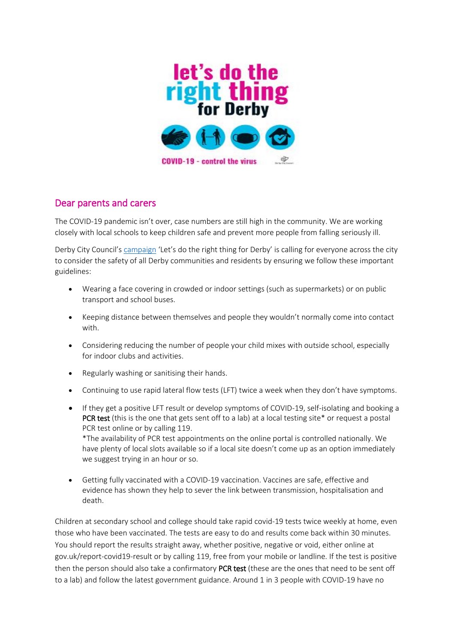

## Dear parents and carers

The COVID-19 pandemic isn't over, case numbers are still high in the community. We are working closely with local schools to keep children safe and prevent more people from falling seriously ill.

Derby City Council's [campaign](https://news.derby.gov.uk/lets-do-the-right-thing-for-derby/) 'Let's do the right thing for Derby' is calling for everyone across the city to consider the safety of all Derby communities and residents by ensuring we follow these important guidelines:

- Wearing a face covering in crowded or indoor settings (such as supermarkets) or on public transport and school buses.
- Keeping distance between themselves and people they wouldn't normally come into contact with.
- Considering reducing the number of people your child mixes with outside school, especially for indoor clubs and activities.
- Regularly washing or sanitising their hands.
- Continuing to use rapid lateral flow tests (LFT) twice a week when they don't have symptoms.
- If they get a positive LFT result or develop symptoms of COVID-19, self-isolating and booking a **PCR test** (this is the one that gets sent off to a lab) at a local testing site\* or request a postal PCR test online or by calling 119.

\*The availability of PCR test appointments on the online portal is controlled nationally. We have plenty of local slots available so if a local site doesn't come up as an option immediately we suggest trying in an hour or so.

 Getting fully vaccinated with a COVID-19 vaccination. Vaccines are safe, effective and evidence has shown they help to sever the link between transmission, hospitalisation and death.

Children at secondary school and college should take rapid covid-19 tests twice weekly at home, even those who have been vaccinated. The tests are easy to do and results come back within 30 minutes. You should report the results straight away, whether positive, negative or void, either online at gov.uk/report-covid19-result or by calling 119, free from your mobile or landline. If the test is positive then the person should also take a confirmatory PCR test (these are the ones that need to be sent off to a lab) and follow the latest government guidance. Around 1 in 3 people with COVID-19 have no